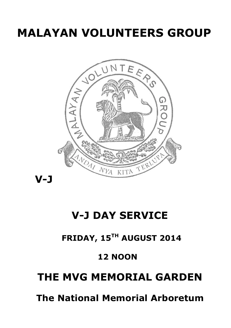# **MALAYAN VOLUNTEERS GROUP**



## **V-J DAY SERVICE**

### **FRIDAY, 15TH AUGUST 2014**

### **12 NOON**

## **THE MVG MEMORIAL GARDEN**

 **The National Memorial Arboretum**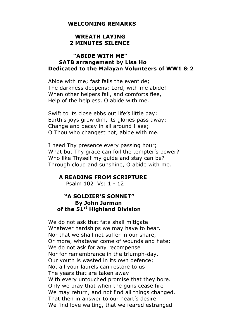#### **WELCOMING REMARKS**

#### **WREATH LAYING 2 MINUTES SILENCE**

#### **"ABIDE WITH ME" SATB arrangement by Lisa Ho Dedicated to the Malayan Volunteers of WW1 & 2**

Abide with me; fast falls the eventide; The darkness deepens; Lord, with me abide! When other helpers fail, and comforts flee, Help of the helpless, O abide with me.

Swift to its close ebbs out life's little day; Earth's joys grow dim, its glories pass away; Change and decay in all around I see; O Thou who changest not, abide with me.

I need Thy presence every passing hour; What but Thy grace can foil the tempter's power? Who like Thyself my guide and stay can be? Through cloud and sunshine, O abide with me.

#### **A READING FROM SCRIPTURE**

Psalm 102 Vs: 1 - 12

#### **"A SOLDIER'S SONNET" By John Jarman of the 51st Highland Division**

We do not ask that fate shall mitigate Whatever hardships we may have to bear. Nor that we shall not suffer in our share, Or more, whatever come of wounds and hate: We do not ask for any recompense Nor for remembrance in the triumph-day. Our youth is wasted in its own defence; Not all your laurels can restore to us The years that are taken away With every untouched promise that they bore. Only we pray that when the guns cease fire We may return, and not find all things changed. That then in answer to our heart's desire We find love waiting, that we feared estranged.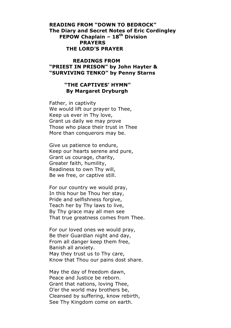#### **READING FROM "DOWN TO BEDROCK" The Diary and Secret Notes of Eric Cordingley FEPOW Chaplain – 18th Division PRAYERS THE LORD'S PRAYER**

#### **READINGS FROM "PRIEST IN PRISON" by John Hayter & "SURVIVING TENKO" by Penny Starns**

#### **"THE CAPTIVES' HYMN" By Margaret Dryburgh**

Father, in captivity We would lift our prayer to Thee, Keep us ever in Thy love, Grant us daily we may prove Those who place their trust in Thee More than conquerors may be.

Give us patience to endure, Keep our hearts serene and pure, Grant us courage, charity, Greater faith, humility, Readiness to own Thy will, Be we free, or captive still.

For our country we would pray, In this hour be Thou her stay, Pride and selfishness forgive, Teach her by Thy laws to live, By Thy grace may all men see That true greatness comes from Thee.

For our loved ones we would pray, Be their Guardian night and day, From all danger keep them free, Banish all anxiety. May they trust us to Thy care, Know that Thou our pains dost share.

May the day of freedom dawn, Peace and Justice be reborn. Grant that nations, loving Thee, O'er the world may brothers be, Cleansed by suffering, know rebirth, See Thy Kingdom come on earth.